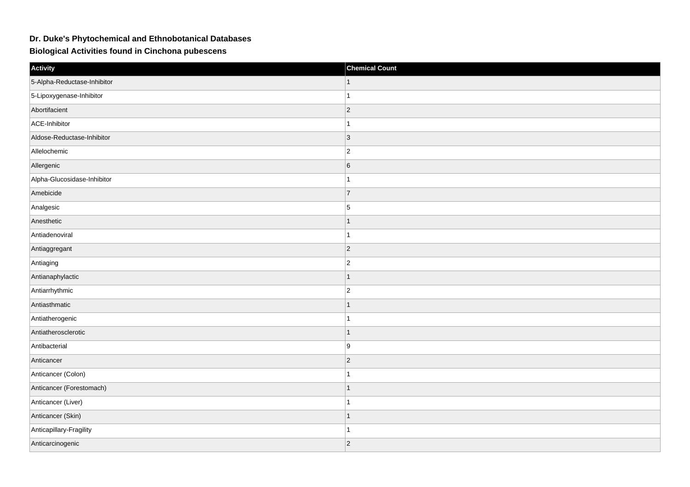## **Dr. Duke's Phytochemical and Ethnobotanical Databases**

**Biological Activities found in Cinchona pubescens**

| Activity                    | <b>Chemical Count</b> |
|-----------------------------|-----------------------|
| 5-Alpha-Reductase-Inhibitor |                       |
| 5-Lipoxygenase-Inhibitor    |                       |
| Abortifacient               | $ 2\rangle$           |
| ACE-Inhibitor               | $\overline{1}$        |
| Aldose-Reductase-Inhibitor  | $ 3\rangle$           |
| Allelochemic                | $\overline{2}$        |
| Allergenic                  | $\,6$                 |
| Alpha-Glucosidase-Inhibitor | 1                     |
| Amebicide                   | $\overline{7}$        |
| Analgesic                   | $\overline{5}$        |
| Anesthetic                  |                       |
| Antiadenoviral              | $\overline{1}$        |
| Antiaggregant               | $\vert$ 2             |
| Antiaging                   | $\overline{2}$        |
| Antianaphylactic            | $\overline{1}$        |
| Antiarrhythmic              | $ 2\rangle$           |
| Antiasthmatic               | 1                     |
| Antiatherogenic             |                       |
| Antiatherosclerotic         | $\mathbf{1}$          |
| Antibacterial               | 9                     |
| Anticancer                  | $ 2\rangle$           |
| Anticancer (Colon)          |                       |
| Anticancer (Forestomach)    | $\mathbf{1}$          |
| Anticancer (Liver)          |                       |
| Anticancer (Skin)           | $\overline{1}$        |
| Anticapillary-Fragility     |                       |
| Anticarcinogenic            | 2                     |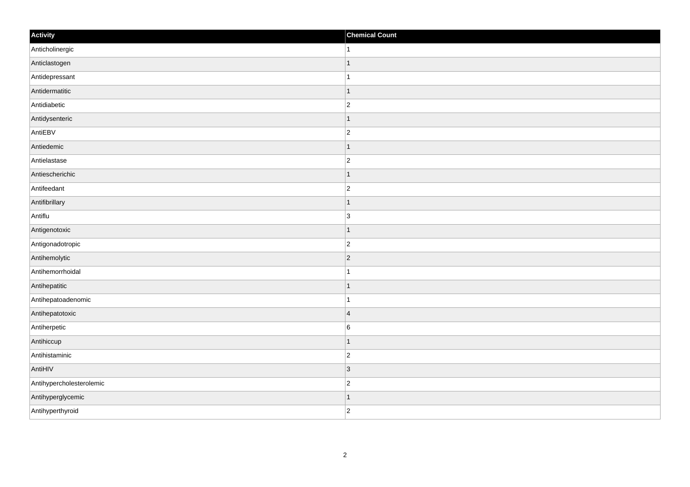| Activity                 | <b>Chemical Count</b>   |
|--------------------------|-------------------------|
| Anticholinergic          | $\vert$ 1               |
| Anticlastogen            | $\overline{1}$          |
| Antidepressant           |                         |
| Antidermatitic           | $\overline{1}$          |
| Antidiabetic             | $\overline{c}$          |
| Antidysenteric           | -1                      |
| AntiEBV                  | $\overline{c}$          |
| Antiedemic               | $\mathbf 1$             |
| Antielastase             | $\overline{c}$          |
| Antiescherichic          | $\vert$ 1               |
| Antifeedant              | $\overline{c}$          |
| Antifibrillary           | 1                       |
| Antiflu                  | $\overline{3}$          |
| Antigenotoxic            | $\mathbf 1$             |
| Antigonadotropic         | $ 2\rangle$             |
| Antihemolytic            | $ 2\rangle$             |
| Antihemorrhoidal         | $\mathbf 1$             |
| Antihepatitic            | $\overline{1}$          |
| Antihepatoadenomic       | $\mathbf{1}$            |
| Antihepatotoxic          | $\overline{\mathbf{4}}$ |
| Antiherpetic             | 6                       |
| Antihiccup               | $\vert$ 1               |
| Antihistaminic           | $\overline{c}$          |
| AntiHIV                  | 3                       |
| Antihypercholesterolemic | $ 2\rangle$             |
| Antihyperglycemic        | 1                       |
| Antihyperthyroid         | $\overline{c}$          |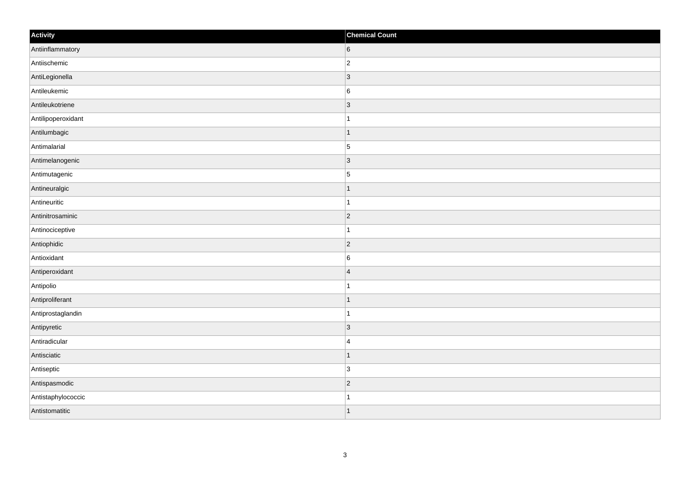| Activity           | <b>Chemical Count</b> |
|--------------------|-----------------------|
| Antiinflammatory   | 6                     |
| Antiischemic       | $ 2\rangle$           |
| AntiLegionella     | $ 3\rangle$           |
| Antileukemic       | $6\overline{6}$       |
| Antileukotriene    | $\vert$ 3             |
| Antilipoperoxidant | $\mathbf{1}$          |
| Antilumbagic       | $\vert$ 1             |
| Antimalarial       | $\overline{5}$        |
| Antimelanogenic    | $ 3\rangle$           |
| Antimutagenic      | $\overline{5}$        |
| Antineuralgic      | $\mathbf{1}$          |
| Antineuritic       | $\mathbf{1}$          |
| Antinitrosaminic   | $ 2\rangle$           |
| Antinociceptive    | 11.                   |
| Antiophidic        | $ 2\rangle$           |
| Antioxidant        | $6\overline{6}$       |
| Antiperoxidant     | $\vert$ 4             |
| Antipolio          | $\mathbf{1}$          |
| Antiproliferant    | $\vert$ 1             |
| Antiprostaglandin  | $\vert$ 1             |
| Antipyretic        | $ 3\rangle$           |
| Antiradicular      | 4                     |
| Antisciatic        | $\mathbf{1}$          |
| Antiseptic         | $\vert 3 \vert$       |
| Antispasmodic      | $ 2\rangle$           |
| Antistaphylococcic | $\mathbf{1}$          |
| Antistomatitic     | $\vert$ 1             |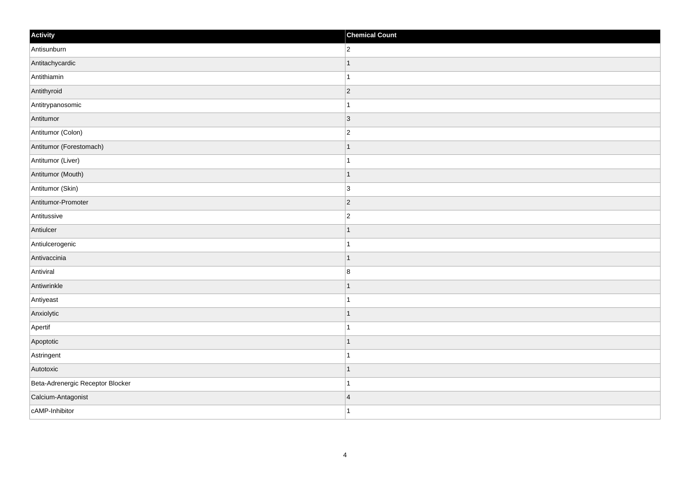| Activity                         | <b>Chemical Count</b>   |
|----------------------------------|-------------------------|
| Antisunburn                      | $\overline{2}$          |
| Antitachycardic                  | $\mathbf 1$             |
| Antithiamin                      | 1                       |
| Antithyroid                      | $ 2\rangle$             |
| Antitrypanosomic                 | $\overline{1}$          |
| Antitumor                        | 3                       |
| Antitumor (Colon)                | $\overline{c}$          |
| Antitumor (Forestomach)          |                         |
| Antitumor (Liver)                |                         |
| Antitumor (Mouth)                | $\overline{1}$          |
| Antitumor (Skin)                 | 3                       |
| Antitumor-Promoter               | $ 2\rangle$             |
| Antitussive                      | $\overline{c}$          |
| Antiulcer                        | 1                       |
| Antiulcerogenic                  |                         |
| Antivaccinia                     | $\mathbf{1}$            |
| Antiviral                        | $\bf 8$                 |
| Antiwrinkle                      | $\overline{1}$          |
| Antiyeast                        | $\mathbf{1}$            |
| Anxiolytic                       | $\mathbf 1$             |
| Apertif                          | $\overline{1}$          |
| Apoptotic                        | $\vert$ 1               |
| Astringent                       | 1                       |
| Autotoxic                        | $\mathbf 1$             |
| Beta-Adrenergic Receptor Blocker | $\overline{1}$          |
| Calcium-Antagonist               | $\overline{\mathbf{4}}$ |
| cAMP-Inhibitor                   | $\overline{1}$          |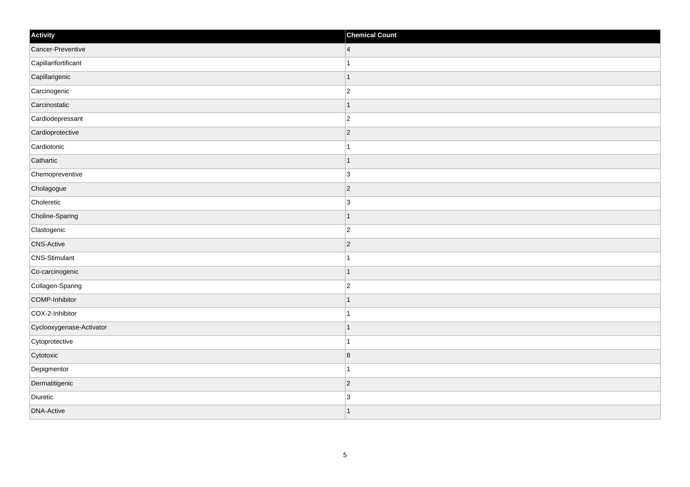| Activity                 | <b>Chemical Count</b> |
|--------------------------|-----------------------|
| Cancer-Preventive        | $\overline{4}$        |
| Capillarifortificant     |                       |
| Capillarigenic           | $\mathbf 1$           |
| Carcinogenic             | $\overline{2}$        |
| Carcinostatic            |                       |
| Cardiodepressant         | $\overline{2}$        |
| Cardioprotective         | $ 2\rangle$           |
| Cardiotonic              | $\mathbf{1}$          |
| Cathartic                | $\mathbf 1$           |
| Chemopreventive          | $\overline{3}$        |
| Cholagogue               | $\overline{2}$        |
| Choleretic               | $\overline{3}$        |
| Choline-Sparing          | $\vert$ 1             |
| Clastogenic              | $\overline{c}$        |
| <b>CNS-Active</b>        | $ 2\rangle$           |
| <b>CNS-Stimulant</b>     | $\mathbf{1}$          |
| Co-carcinogenic          | $\mathbf 1$           |
| Collagen-Sparing         | $\overline{c}$        |
| COMP-Inhibitor           | $\mathbf{1}$          |
| COX-2-Inhibitor          | $\mathbf{1}$          |
| Cyclooxygenase-Activator | $\mathbf 1$           |
| Cytoprotective           | $\mathbf{1}$          |
| Cytotoxic                | $\bf 8$               |
| Depigmentor              | $\mathbf{1}$          |
| Dermatitigenic           | $ 2\rangle$           |
| Diuretic                 | $\overline{3}$        |
| <b>DNA-Active</b>        | $\overline{1}$        |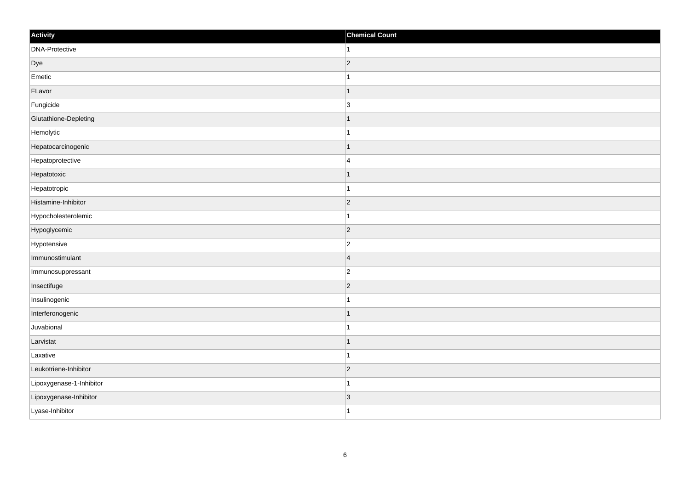| Activity                 | <b>Chemical Count</b> |
|--------------------------|-----------------------|
| DNA-Protective           | -1                    |
| Dye                      | $\overline{2}$        |
| Emetic                   |                       |
| FLavor                   | -1                    |
| Fungicide                | 3                     |
| Glutathione-Depleting    |                       |
| Hemolytic                |                       |
| Hepatocarcinogenic       |                       |
| Hepatoprotective         | $\overline{4}$        |
| Hepatotoxic              | -1                    |
| Hepatotropic             | 1                     |
| Histamine-Inhibitor      | $\vert$ 2             |
| Hypocholesterolemic      |                       |
| Hypoglycemic             | $ 2\rangle$           |
| Hypotensive              | $\overline{c}$        |
| Immunostimulant          | $\overline{4}$        |
| Immunosuppressant        | $\overline{2}$        |
| Insectifuge              | $\vert$ 2             |
| Insulinogenic            |                       |
| Interferonogenic         |                       |
| Juvabional               |                       |
| Larvistat                |                       |
| Laxative                 |                       |
| Leukotriene-Inhibitor    | $\vert$ 2             |
| Lipoxygenase-1-Inhibitor | -1                    |
| Lipoxygenase-Inhibitor   | $\vert 3 \vert$       |
| Lyase-Inhibitor          | 1                     |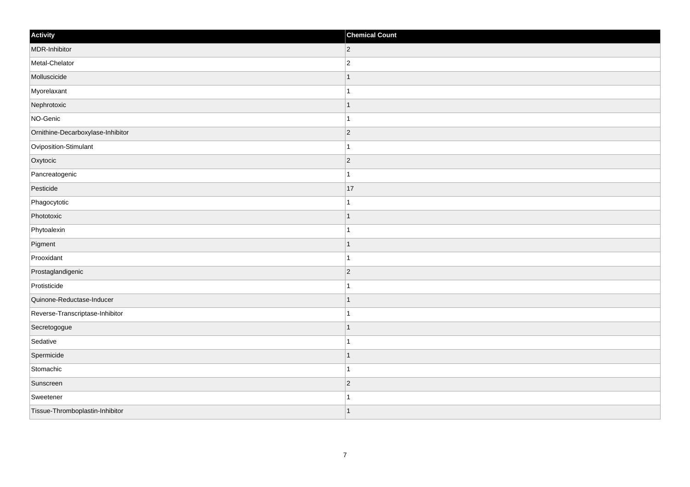| Activity                          | <b>Chemical Count</b> |
|-----------------------------------|-----------------------|
| MDR-Inhibitor                     | $ 2\rangle$           |
| Metal-Chelator                    | $\overline{c}$        |
| Molluscicide                      |                       |
| Myorelaxant                       | 1                     |
| Nephrotoxic                       |                       |
| NO-Genic                          |                       |
| Ornithine-Decarboxylase-Inhibitor | $ 2\rangle$           |
| Oviposition-Stimulant             | $\mathbf 1$           |
| Oxytocic                          | $ 2\rangle$           |
| Pancreatogenic                    | $\mathbf{1}$          |
| Pesticide                         | 17                    |
| Phagocytotic                      |                       |
| Phototoxic                        | $\mathbf{1}$          |
| Phytoalexin                       | $\mathbf{1}$          |
| Pigment                           | -1                    |
| Prooxidant                        | $\overline{1}$        |
| Prostaglandigenic                 | $\overline{2}$        |
| Protisticide                      |                       |
| Quinone-Reductase-Inducer         | $\mathbf 1$           |
| Reverse-Transcriptase-Inhibitor   | $\mathbf{1}$          |
| Secretogogue                      |                       |
| Sedative                          | 1                     |
| Spermicide                        |                       |
| Stomachic                         |                       |
| Sunscreen                         | $ 2\rangle$           |
| Sweetener                         |                       |
| Tissue-Thromboplastin-Inhibitor   | $\vert$ 1             |